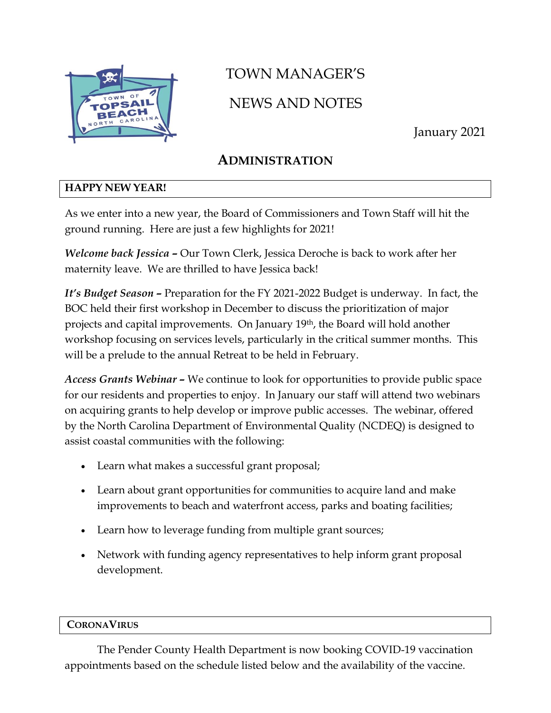

# TOWN MANAGER'S NEWS AND NOTES

January 2021

# **ADMINISTRATION**

#### **HAPPY NEW YEAR!**

As we enter into a new year, the Board of Commissioners and Town Staff will hit the ground running. Here are just a few highlights for 2021!

*Welcome back Jessica –* Our Town Clerk, Jessica Deroche is back to work after her maternity leave. We are thrilled to have Jessica back!

*It's Budget Season –* Preparation for the FY 2021-2022 Budget is underway. In fact, the BOC held their first workshop in December to discuss the prioritization of major projects and capital improvements. On January 19th, the Board will hold another workshop focusing on services levels, particularly in the critical summer months. This will be a prelude to the annual Retreat to be held in February.

*Access Grants Webinar –* We continue to look for opportunities to provide public space for our residents and properties to enjoy. In January our staff will attend two webinars on acquiring grants to help develop or improve public accesses. The webinar, offered by the North Carolina Department of Environmental Quality (NCDEQ) is designed to assist coastal communities with the following:

- Learn what makes a successful grant proposal;
- Learn about grant opportunities for communities to acquire land and make improvements to beach and waterfront access, parks and boating facilities;
- Learn how to leverage funding from multiple grant sources;
- Network with funding agency representatives to help inform grant proposal development.

#### **CORONAVIRUS**

The Pender County Health Department is now booking COVID-19 vaccination appointments based on the schedule listed below and the availability of the vaccine.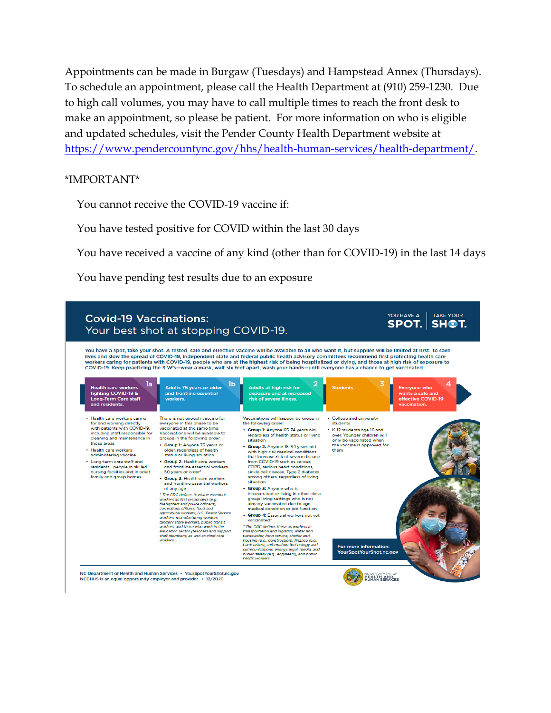Appointments can be made in Burgaw (Tuesdays) and Hampstead Annex (Thursdays). To schedule an appointment, please call the Health Department at (910) 259-1230. Due to high call volumes, you may have to call multiple times to reach the front desk to make an appointment, so please be patient. For more information on who is eligible and updated schedules, visit the Pender County Health Department website at [https://www.pendercountync.gov/hhs/health-human-services/health-department/.](https://www.pendercountync.gov/hhs/health-human-services/health-department/)

#### \*IMPORTANT\*

You cannot receive the COVID-19 vaccine if:

You have tested positive for COVID within the last 30 days

You have received a vaccine of any kind (other than for COVID-19) in the last 14 days

You have pending test results due to an exposure

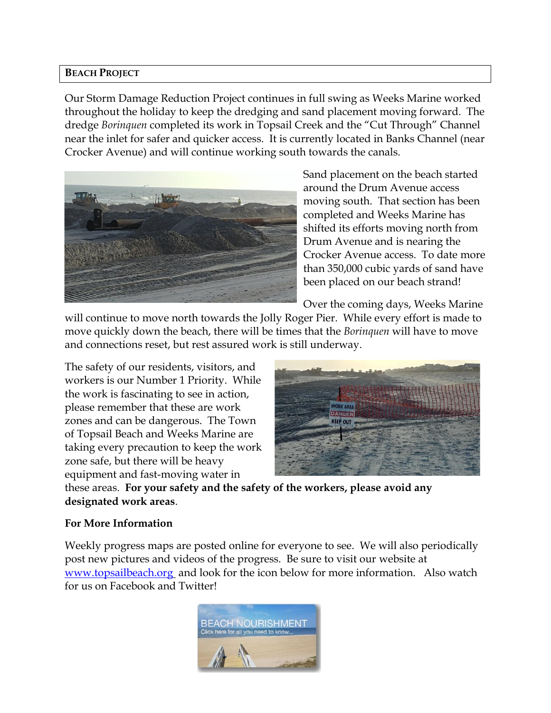#### **BEACH PROJECT**

Our Storm Damage Reduction Project continues in full swing as Weeks Marine worked throughout the holiday to keep the dredging and sand placement moving forward. The dredge *Borinquen* completed its work in Topsail Creek and the "Cut Through" Channel near the inlet for safer and quicker access. It is currently located in Banks Channel (near Crocker Avenue) and will continue working south towards the canals.



Sand placement on the beach started around the Drum Avenue access moving south. That section has been completed and Weeks Marine has shifted its efforts moving north from Drum Avenue and is nearing the Crocker Avenue access. To date more than 350,000 cubic yards of sand have been placed on our beach strand!

Over the coming days, Weeks Marine

will continue to move north towards the Jolly Roger Pier. While every effort is made to move quickly down the beach, there will be times that the *Borinquen* will have to move and connections reset, but rest assured work is still underway.

The safety of our residents, visitors, and workers is our Number 1 Priority. While the work is fascinating to see in action, please remember that these are work zones and can be dangerous. The Town of Topsail Beach and Weeks Marine are taking every precaution to keep the work zone safe, but there will be heavy equipment and fast-moving water in



these areas. **For your safety and the safety of the workers, please avoid any designated work areas**.

#### **For More Information**

Weekly progress maps are posted online for everyone to see. We will also periodically post new pictures and videos of the progress. Be sure to visit our website at [www.topsailbeach.org](http://www.topsailbeach.org/) and look for the icon below for more information. Also watch for us on Facebook and Twitter!

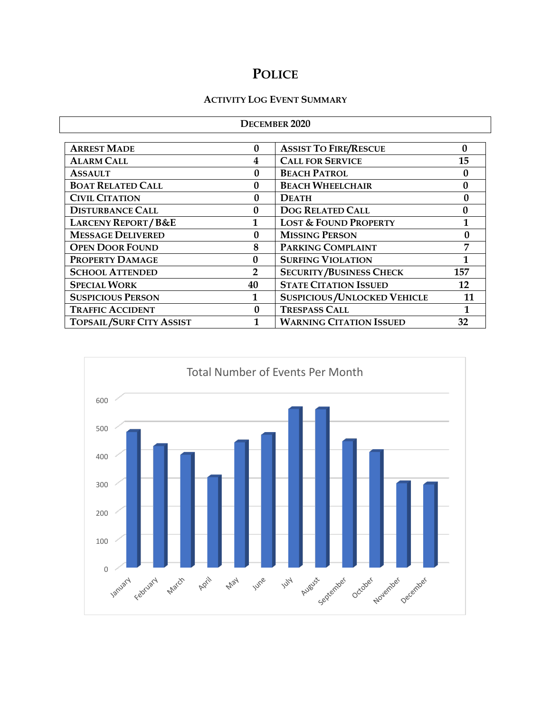# **POLICE**

#### **ACTIVITY LOG EVENT SUMMARY**

| <b>DECEMBER 2020</b>            |                |                                      |              |  |  |
|---------------------------------|----------------|--------------------------------------|--------------|--|--|
|                                 |                |                                      |              |  |  |
| <b>ARREST MADE</b>              | $\bf{0}$       | <b>ASSIST TO FIRE/RESCUE</b>         | 0            |  |  |
| <b>ALARM CALL</b>               | 4              | <b>CALL FOR SERVICE</b>              | 15           |  |  |
| <b>ASSAULT</b>                  | $\mathbf{0}$   | <b>BEACH PATROL</b>                  | 0            |  |  |
| <b>BOAT RELATED CALL</b>        | 0              | <b>BEACH WHEELCHAIR</b>              | $\mathbf{0}$ |  |  |
| <b>CIVIL CITATION</b>           | $\mathbf{0}$   | <b>DEATH</b>                         | 0            |  |  |
| <b>DISTURBANCE CALL</b>         | 0              | <b>DOG RELATED CALL</b>              | $\bf{0}$     |  |  |
| <b>LARCENY REPORT/B&amp;E</b>   | 1              | <b>LOST &amp; FOUND PROPERTY</b>     | 1            |  |  |
| <b>MESSAGE DELIVERED</b>        | 0              | <b>MISSING PERSON</b>                | 0            |  |  |
| <b>OPEN DOOR FOUND</b>          | 8              | PARKING COMPLAINT                    |              |  |  |
| <b>PROPERTY DAMAGE</b>          | $\Omega$       | <b>SURFING VIOLATION</b>             |              |  |  |
| <b>SCHOOL ATTENDED</b>          | $\overline{2}$ | <b>SECURITY/BUSINESS CHECK</b>       | 157          |  |  |
| <b>SPECIAL WORK</b>             | 40             | <b>STATE CITATION ISSUED</b>         | 12           |  |  |
| <b>SUSPICIOUS PERSON</b>        | 1              | <b>SUSPICIOUS / UNLOCKED VEHICLE</b> | 11           |  |  |
| <b>TRAFFIC ACCIDENT</b>         | 0              | <b>TRESPASS CALL</b>                 | 1            |  |  |
| <b>TOPSAIL/SURF CITY ASSIST</b> |                | <b>WARNING CITATION ISSUED</b><br>32 |              |  |  |

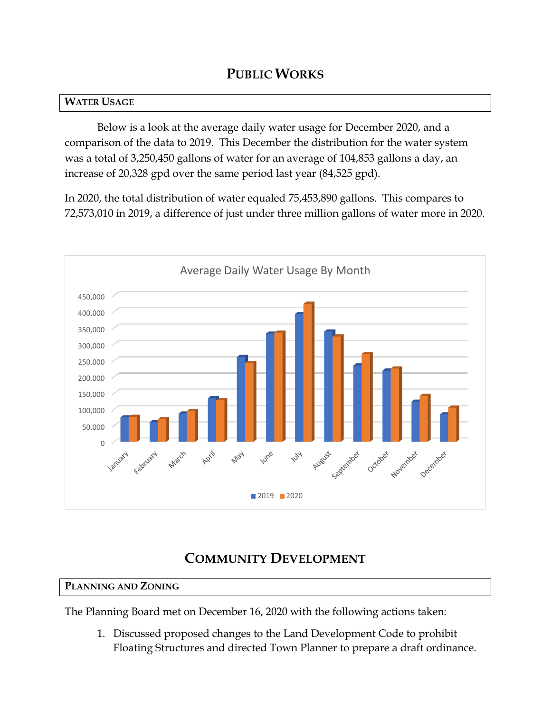### **PUBLIC WORKS**

#### **WATER USAGE**

Below is a look at the average daily water usage for December 2020, and a comparison of the data to 2019. This December the distribution for the water system was a total of 3,250,450 gallons of water for an average of 104,853 gallons a day, an increase of 20,328 gpd over the same period last year (84,525 gpd).

In 2020, the total distribution of water equaled 75,453,890 gallons. This compares to 72,573,010 in 2019, a difference of just under three million gallons of water more in 2020.



# **COMMUNITY DEVELOPMENT**

#### **PLANNING AND ZONING**

The Planning Board met on December 16, 2020 with the following actions taken:

1. Discussed proposed changes to the Land Development Code to prohibit Floating Structures and directed Town Planner to prepare a draft ordinance.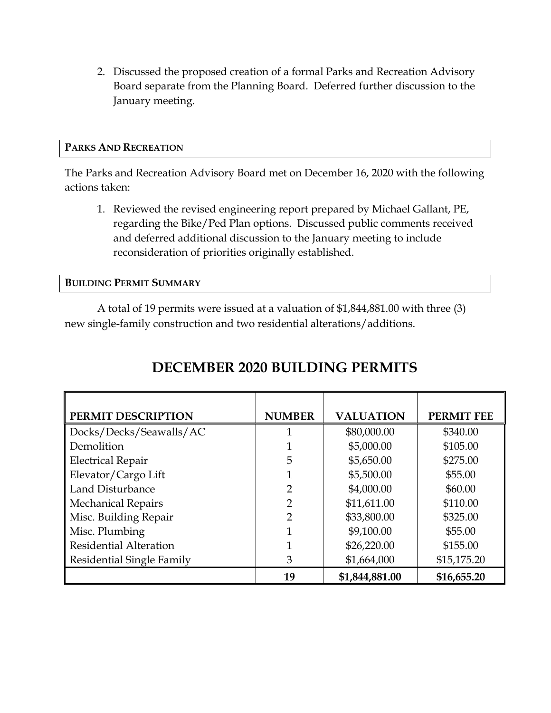2. Discussed the proposed creation of a formal Parks and Recreation Advisory Board separate from the Planning Board. Deferred further discussion to the January meeting.

#### **PARKS AND RECREATION**

The Parks and Recreation Advisory Board met on December 16, 2020 with the following actions taken:

1. Reviewed the revised engineering report prepared by Michael Gallant, PE, regarding the Bike/Ped Plan options. Discussed public comments received and deferred additional discussion to the January meeting to include reconsideration of priorities originally established.

**BUILDING PERMIT SUMMARY**

A total of 19 permits were issued at a valuation of \$1,844,881.00 with three (3) new single-family construction and two residential alterations/additions.

| PERMIT DESCRIPTION            | <b>NUMBER</b>  | <b>VALUATION</b> | <b>PERMIT FEE</b> |
|-------------------------------|----------------|------------------|-------------------|
| Docks/Decks/Seawalls/AC       |                | \$80,000.00      | \$340.00          |
| Demolition                    |                | \$5,000.00       | \$105.00          |
| <b>Electrical Repair</b>      | 5              | \$5,650.00       | \$275.00          |
| Elevator/Cargo Lift           |                | \$5,500.00       | \$55.00           |
| Land Disturbance              | 2              | \$4,000.00       | \$60.00           |
| <b>Mechanical Repairs</b>     | $\overline{2}$ | \$11,611.00      | \$110.00          |
| Misc. Building Repair         | $\overline{2}$ | \$33,800.00      | \$325.00          |
| Misc. Plumbing                | 1              | \$9,100.00       | \$55.00           |
| <b>Residential Alteration</b> |                | \$26,220.00      | \$155.00          |
| Residential Single Family     | 3              | \$1,664,000      | \$15,175.20       |
|                               | 19             | \$1,844,881.00   | \$16,655.20       |

# **DECEMBER 2020 BUILDING PERMITS**